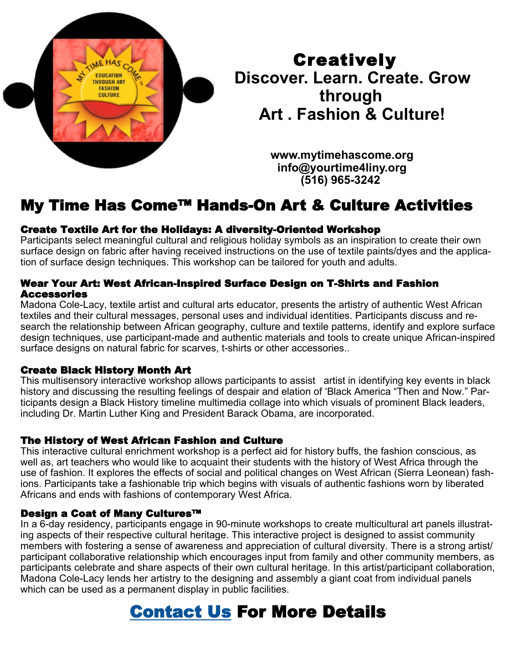

**Creatively Discover. Learn. Create. Grow through Art . Fashion & Culture!**

> **www.mytimehascome.org info@yourtime4liny.org (516) 965-3242**

# My Time Has Come™ Hands-On Art & Culture Activities

## Create Textile Art for the Holidays: A diversity-Oriented Workshop

Participants select meaningful cultural and religious holiday symbols as an inspiration to create their own surface design on fabric after having received instructions on the use of textile paints/dyes and the application of surface design techniques. This workshop can be tailored for youth and adults.

#### Wear Your Art: West African-Inspired Surface Design on T-Shirts and Fashion Accessories

Madona Cole-Lacy, textile artist and cultural arts educator, presents the artistry of authentic West African textiles and their cultural messages, personal uses and individual identities. Participants discuss and research the relationship between African geography, culture and textile patterns, identify and explore surface design techniques, use participant-made and authentic materials and tools to create unique African-inspired surface designs on natural fabric for scarves, t-shirts or other accessories..

### Create Black History Month Art

This multisensory interactive workshop allows participants to assist artist in identifying key events in black history and discussing the resulting feelings of despair and elation of 'Black America "Then and Now." Participants design a Black History timeline multimedia collage into which visuals of prominent Black leaders, including Dr. Martin Luther King and President Barack Obama, are incorporated.

### The History of West African Fashion and Culture

This interactive cultural enrichment workshop is a perfect aid for history buffs, the fashion conscious, as well as, art teachers who would like to acquaint their students with the history of West Africa through the use of fashion. It explores the effects of social and political changes on West African (Sierra Leonean) fashions. Participants take a fashionable trip which begins with visuals of authentic fashions worn by liberated Africans and ends with fashions of contemporary West Africa.

### Design a Coat of Many Cultures™

In a 6-day residency, participants engage in 90-minute workshops to create multicultural art panels illustrating aspects of their respective cultural heritage. This interactive project is designed to assist community members with fostering a sense of awareness and appreciation of cultural diversity. There is a strong artist/ participant collaborative relationship which encourages input from family and other community members, as participants celebrate and share aspects of their own cultural heritage. In this artist/participant collaboration, Madona Cole-Lacy lends her artistry to the designing and assembly a giant coat from individual panels which can be used as a permanent display in public facilities.

# [Contact Us](https://www.mytimehascome.org/contact.html) For More Details